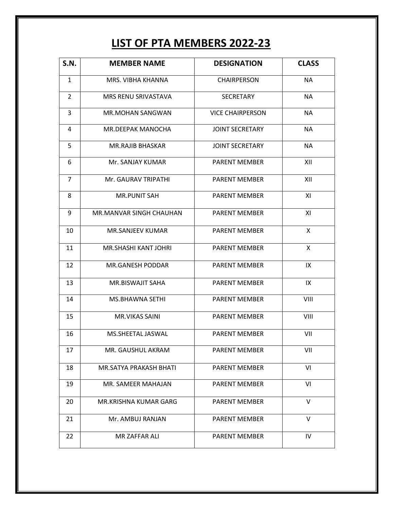## **LIST OF PTA MEMBERS 2022-23**

| S.N.           | <b>MEMBER NAME</b>      | <b>DESIGNATION</b>      | <b>CLASS</b> |
|----------------|-------------------------|-------------------------|--------------|
| 1              | MRS. VIBHA KHANNA       | <b>CHAIRPERSON</b>      | <b>NA</b>    |
| 2              | MRS RENU SRIVASTAVA     | <b>SECRETARY</b>        | <b>NA</b>    |
| 3              | <b>MR.MOHAN SANGWAN</b> | <b>VICE CHAIRPERSON</b> | <b>NA</b>    |
| 4              | MR.DEEPAK MANOCHA       | <b>JOINT SECRETARY</b>  | <b>NA</b>    |
| 5              | <b>MR.RAJIB BHASKAR</b> | <b>JOINT SECRETARY</b>  | <b>NA</b>    |
| 6              | Mr. SANJAY KUMAR        | <b>PARENT MEMBER</b>    | XII          |
| $\overline{7}$ | Mr. GAURAV TRIPATHI     | <b>PARENT MEMBER</b>    | XII          |
| 8              | <b>MR.PUNIT SAH</b>     | <b>PARENT MEMBER</b>    | ΧI           |
| 9              | MR.MANVAR SINGH CHAUHAN | <b>PARENT MEMBER</b>    | ΧI           |
| 10             | MR.SANJEEV KUMAR        | <b>PARENT MEMBER</b>    | X            |
| 11             | MR.SHASHI KANT JOHRI    | <b>PARENT MEMBER</b>    | X            |
| 12             | MR.GANESH PODDAR        | <b>PARENT MEMBER</b>    | IX           |
| 13             | MR.BISWAJIT SAHA        | <b>PARENT MEMBER</b>    | IX           |
| 14             | MS.BHAWNA SETHI         | <b>PARENT MEMBER</b>    | VIII         |
| 15             | <b>MR.VIKAS SAINI</b>   | <b>PARENT MEMBER</b>    | VIII         |
| 16             | MS.SHEETAL JASWAL       | <b>PARENT MEMBER</b>    | VII          |
| 17             | MR. GAUSHUL AKRAM       | PARENT MEMBER           | VII          |
| 18             | MR.SATYA PRAKASH BHATI  | <b>PARENT MEMBER</b>    | VI           |
| 19             | MR. SAMEER MAHAJAN      | <b>PARENT MEMBER</b>    | VI           |
| 20             | MR.KRISHNA KUMAR GARG   | <b>PARENT MEMBER</b>    | $\vee$       |
| 21             | Mr. AMBUJ RANJAN        | <b>PARENT MEMBER</b>    | V            |
| 22             | MR ZAFFAR ALI           | <b>PARENT MEMBER</b>    | IV           |